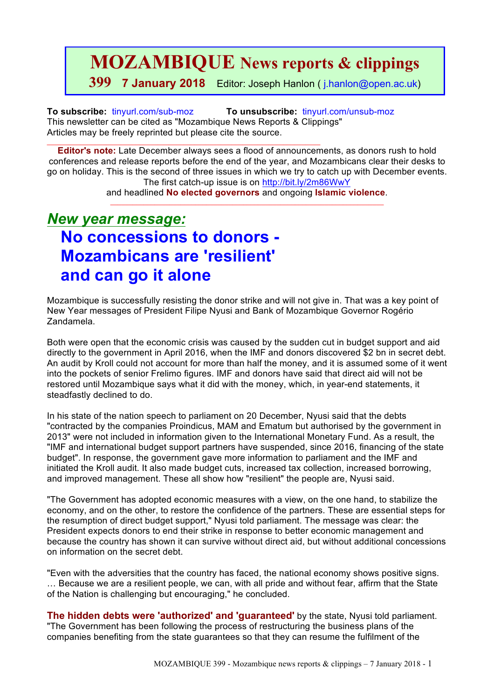**MOZAMBIQUE News reports & clippings**

**399 7 January 2018** Editor: Joseph Hanlon ( j.hanlon@open.ac.uk)

**To subscribe:** tinyurl.com/sub-moz **To unsubscribe:** tinyurl.com/unsub-moz This newsletter can be cited as "Mozambique News Reports & Clippings" Articles may be freely reprinted but please cite the source.

 $\_$  ,  $\_$  ,  $\_$  ,  $\_$  ,  $\_$  ,  $\_$  ,  $\_$  ,  $\_$  ,  $\_$  ,  $\_$  ,  $\_$  ,  $\_$  ,  $\_$  ,  $\_$  ,  $\_$  ,  $\_$  ,  $\_$  ,  $\_$  ,  $\_$  ,  $\_$ 

**Editor's note:** Late December always sees a flood of announcements, as donors rush to hold conferences and release reports before the end of the year, and Mozambicans clear their desks to go on holiday. This is the second of three issues in which we try to catch up with December events. The first catch-up issue is on http://bit.ly/2m86WwY

> and headlined **No elected governors** and ongoing **Islamic violence**.  $\mathcal{L}_\text{max}$  , and the set of the set of the set of the set of the set of the set of the set of the set of the set of

# *New year message:*  **No concessions to donors - Mozambicans are 'resilient' and can go it alone**

Mozambique is successfully resisting the donor strike and will not give in. That was a key point of New Year messages of President Filipe Nyusi and Bank of Mozambique Governor Rogério Zandamela.

Both were open that the economic crisis was caused by the sudden cut in budget support and aid directly to the government in April 2016, when the IMF and donors discovered \$2 bn in secret debt. An audit by Kroll could not account for more than half the money, and it is assumed some of it went into the pockets of senior Frelimo figures. IMF and donors have said that direct aid will not be restored until Mozambique says what it did with the money, which, in year-end statements, it steadfastly declined to do.

In his state of the nation speech to parliament on 20 December, Nyusi said that the debts "contracted by the companies Proindicus, MAM and Ematum but authorised by the government in 2013" were not included in information given to the International Monetary Fund. As a result, the "IMF and international budget support partners have suspended, since 2016, financing of the state budget". In response, the government gave more information to parliament and the IMF and initiated the Kroll audit. It also made budget cuts, increased tax collection, increased borrowing, and improved management. These all show how "resilient" the people are, Nyusi said.

"The Government has adopted economic measures with a view, on the one hand, to stabilize the economy, and on the other, to restore the confidence of the partners. These are essential steps for the resumption of direct budget support," Nyusi told parliament. The message was clear: the President expects donors to end their strike in response to better economic management and because the country has shown it can survive without direct aid, but without additional concessions on information on the secret debt.

"Even with the adversities that the country has faced, the national economy shows positive signs. … Because we are a resilient people, we can, with all pride and without fear, affirm that the State of the Nation is challenging but encouraging," he concluded.

**The hidden debts were 'authorized' and 'guaranteed'** by the state, Nyusi told parliament. "The Government has been following the process of restructuring the business plans of the companies benefiting from the state guarantees so that they can resume the fulfilment of the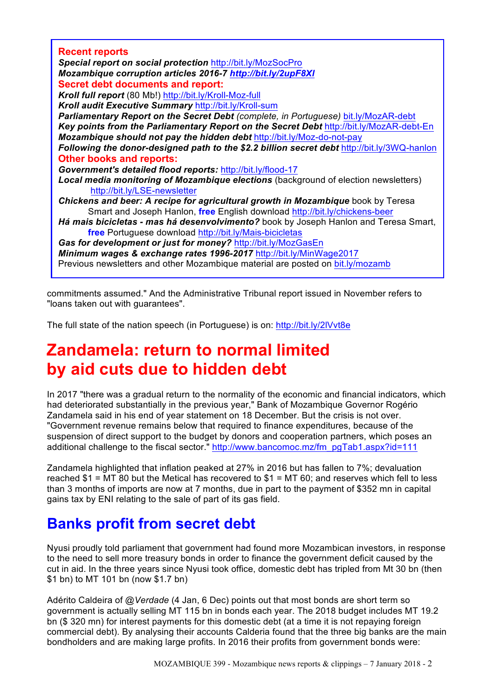| <b>Recent reports</b>                                                                       |
|---------------------------------------------------------------------------------------------|
| Special report on social protection http://bit.ly/MozSocPro                                 |
| Mozambique corruption articles 2016-7 http://bit.ly/2upF8XI                                 |
| <b>Secret debt documents and report:</b>                                                    |
| Kroll full report (80 Mb!) http://bit.ly/Kroll-Moz-full                                     |
| Kroll audit Executive Summary http://bit.ly/Kroll-sum                                       |
| Parliamentary Report on the Secret Debt (complete, in Portuguese) bit.ly/MozAR-debt         |
| Key points from the Parliamentary Report on the Secret Debt http://bit.ly/MozAR-debt-En     |
| Mozambique should not pay the hidden debt http://bit.ly/Moz-do-not-pay                      |
| Following the donor-designed path to the \$2.2 billion secret debt http://bit.ly/3WQ-hanlon |
| <b>Other books and reports:</b>                                                             |
| Government's detailed flood reports: http://bit.ly/flood-17                                 |
| Local media monitoring of Mozambique elections (background of election newsletters)         |
| http://bit.ly/LSE-newsletter                                                                |
| Chickens and beer: A recipe for agricultural growth in Mozambique book by Teresa            |
| Smart and Joseph Hanlon, free English download http://bit.ly/chickens-beer                  |
| Há mais bicicletas - mas há desenvolvimento? book by Joseph Hanlon and Teresa Smart,        |
| free Portuguese download http://bit.ly/Mais-bicicletas                                      |
| Gas for development or just for money? http://bit.ly/MozGasEn                               |
| Minimum wages & exchange rates 1996-2017 http://bit.ly/MinWage2017                          |
| Previous newsletters and other Mozambique material are posted on bit.ly/mozamb              |
|                                                                                             |

commitments assumed." And the Administrative Tribunal report issued in November refers to "loans taken out with guarantees".

The full state of the nation speech (in Portuguese) is on: http://bit.ly/2lVvt8e

# **Zandamela: return to normal limited by aid cuts due to hidden debt**

In 2017 "there was a gradual return to the normality of the economic and financial indicators, which had deteriorated substantially in the previous year," Bank of Mozambique Governor Rogério Zandamela said in his end of year statement on 18 December. But the crisis is not over. "Government revenue remains below that required to finance expenditures, because of the suspension of direct support to the budget by donors and cooperation partners, which poses an additional challenge to the fiscal sector." http://www.bancomoc.mz/fm\_pgTab1.aspx?id=111

Zandamela highlighted that inflation peaked at 27% in 2016 but has fallen to 7%; devaluation reached  $$1$  = MT 80 but the Metical has recovered to  $$1$  = MT 60; and reserves which fell to less than 3 months of imports are now at 7 months, due in part to the payment of \$352 mn in capital gains tax by ENI relating to the sale of part of its gas field.

# **Banks profit from secret debt**

Nyusi proudly told parliament that government had found more Mozambican investors, in response to the need to sell more treasury bonds in order to finance the government deficit caused by the cut in aid. In the three years since Nyusi took office, domestic debt has tripled from Mt 30 bn (then \$1 bn) to MT 101 bn (now \$1.7 bn)

Adérito Caldeira of *@Verdade* (4 Jan, 6 Dec) points out that most bonds are short term so government is actually selling MT 115 bn in bonds each year. The 2018 budget includes MT 19.2 bn (\$ 320 mn) for interest payments for this domestic debt (at a time it is not repaying foreign commercial debt). By analysing their accounts Calderia found that the three big banks are the main bondholders and are making large profits. In 2016 their profits from government bonds were: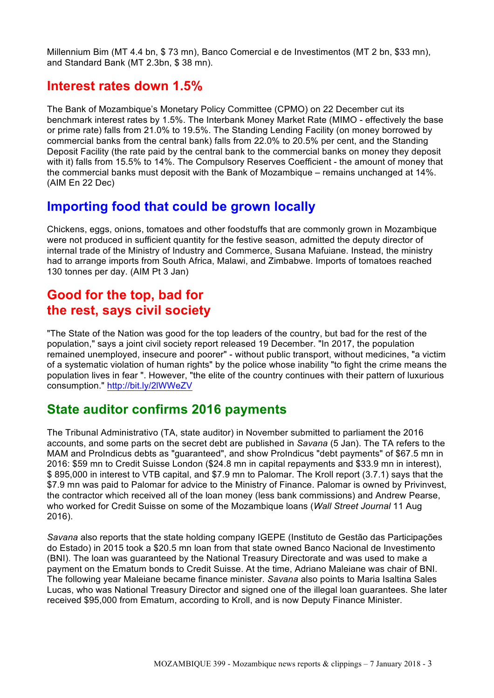Millennium Bim (MT 4.4 bn, \$ 73 mn), Banco Comercial e de Investimentos (MT 2 bn, \$33 mn), and Standard Bank (MT 2.3bn, \$ 38 mn).

## **Interest rates down 1.5%**

The Bank of Mozambique's Monetary Policy Committee (CPMO) on 22 December cut its benchmark interest rates by 1.5%. The Interbank Money Market Rate (MIMO - effectively the base or prime rate) falls from 21.0% to 19.5%. The Standing Lending Facility (on money borrowed by commercial banks from the central bank) falls from 22.0% to 20.5% per cent, and the Standing Deposit Facility (the rate paid by the central bank to the commercial banks on money they deposit with it) falls from 15.5% to 14%. The Compulsory Reserves Coefficient - the amount of money that the commercial banks must deposit with the Bank of Mozambique – remains unchanged at 14%. (AIM En 22 Dec)

## **Importing food that could be grown locally**

Chickens, eggs, onions, tomatoes and other foodstuffs that are commonly grown in Mozambique were not produced in sufficient quantity for the festive season, admitted the deputy director of internal trade of the Ministry of Industry and Commerce, Susana Mafuiane. Instead, the ministry had to arrange imports from South Africa, Malawi, and Zimbabwe. Imports of tomatoes reached 130 tonnes per day. (AIM Pt 3 Jan)

## **Good for the top, bad for the rest, says civil society**

"The State of the Nation was good for the top leaders of the country, but bad for the rest of the population," says a joint civil society report released 19 December. "In 2017, the population remained unemployed, insecure and poorer" - without public transport, without medicines, "a victim of a systematic violation of human rights" by the police whose inability "to fight the crime means the population lives in fear ". However, "the elite of the country continues with their pattern of luxurious consumption." http://bit.ly/2lWWeZV

## **State auditor confirms 2016 payments**

The Tribunal Administrativo (TA, state auditor) in November submitted to parliament the 2016 accounts, and some parts on the secret debt are published in *Savana* (5 Jan). The TA refers to the MAM and ProIndicus debts as "guaranteed", and show ProIndicus "debt payments" of \$67.5 mn in 2016: \$59 mn to Credit Suisse London (\$24.8 mn in capital repayments and \$33.9 mn in interest), \$ 895,000 in interest to VTB capital, and \$7.9 mn to Palomar. The Kroll report (3.7.1) says that the \$7.9 mn was paid to Palomar for advice to the Ministry of Finance. Palomar is owned by Privinvest, the contractor which received all of the loan money (less bank commissions) and Andrew Pearse, who worked for Credit Suisse on some of the Mozambique loans (*Wall Street Journal* 11 Aug 2016).

*Savana* also reports that the state holding company IGEPE (Instituto de Gestão das Participações do Estado) in 2015 took a \$20.5 mn loan from that state owned Banco Nacional de Investimento (BNI). The loan was guaranteed by the National Treasury Directorate and was used to make a payment on the Ematum bonds to Credit Suisse. At the time, Adriano Maleiane was chair of BNI. The following year Maleiane became finance minister. *Savana* also points to Maria Isaltina Sales Lucas, who was National Treasury Director and signed one of the illegal loan guarantees. She later received \$95,000 from Ematum, according to Kroll, and is now Deputy Finance Minister.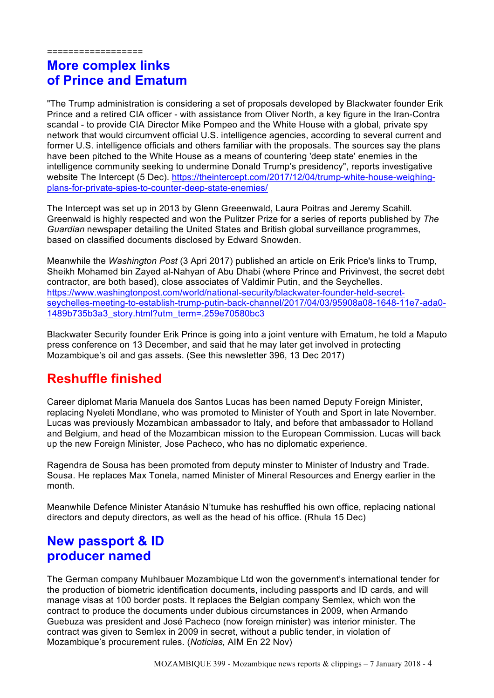==================

# **More complex links of Prince and Ematum**

"The Trump administration is considering a set of proposals developed by Blackwater founder Erik Prince and a retired CIA officer - with assistance from Oliver North, a key figure in the Iran-Contra scandal - to provide CIA Director Mike Pompeo and the White House with a global, private spy network that would circumvent official U.S. intelligence agencies, according to several current and former U.S. intelligence officials and others familiar with the proposals. The sources say the plans have been pitched to the White House as a means of countering 'deep state' enemies in the intelligence community seeking to undermine Donald Trump's presidency", reports investigative website The Intercept (5 Dec). https://theintercept.com/2017/12/04/trump-white-house-weighingplans-for-private-spies-to-counter-deep-state-enemies/

The Intercept was set up in 2013 by Glenn Greeenwald, Laura Poitras and Jeremy Scahill. Greenwald is highly respected and won the Pulitzer Prize for a series of reports published by *The Guardian* newspaper detailing the United States and British global surveillance programmes, based on classified documents disclosed by Edward Snowden.

Meanwhile the *Washington Post* (3 Apri 2017) published an article on Erik Price's links to Trump, Sheikh Mohamed bin Zayed al-Nahyan of Abu Dhabi (where Prince and Privinvest, the secret debt contractor, are both based), close associates of Valdimir Putin, and the Seychelles. https://www.washingtonpost.com/world/national-security/blackwater-founder-held-secretseychelles-meeting-to-establish-trump-putin-back-channel/2017/04/03/95908a08-1648-11e7-ada0- 1489b735b3a3\_story.html?utm\_term=.259e70580bc3

Blackwater Security founder Erik Prince is going into a joint venture with Ematum, he told a Maputo press conference on 13 December, and said that he may later get involved in protecting Mozambique's oil and gas assets. (See this newsletter 396, 13 Dec 2017)

# **Reshuffle finished**

Career diplomat Maria Manuela dos Santos Lucas has been named Deputy Foreign Minister, replacing Nyeleti Mondlane, who was promoted to Minister of Youth and Sport in late November. Lucas was previously Mozambican ambassador to Italy, and before that ambassador to Holland and Belgium, and head of the Mozambican mission to the European Commission. Lucas will back up the new Foreign Minister, Jose Pacheco, who has no diplomatic experience.

Ragendra de Sousa has been promoted from deputy minster to Minister of Industry and Trade. Sousa. He replaces Max Tonela, named Minister of Mineral Resources and Energy earlier in the month.

Meanwhile Defence Minister Atanásio N'tumuke has reshuffled his own office, replacing national directors and deputy directors, as well as the head of his office. (Rhula 15 Dec)

## **New passport & ID producer named**

The German company Muhlbauer Mozambique Ltd won the government's international tender for the production of biometric identification documents, including passports and ID cards, and will manage visas at 100 border posts. It replaces the Belgian company Semlex, which won the contract to produce the documents under dubious circumstances in 2009, when Armando Guebuza was president and José Pacheco (now foreign minister) was interior minister. The contract was given to Semlex in 2009 in secret, without a public tender, in violation of Mozambique's procurement rules. (*Noticias,* AIM En 22 Nov)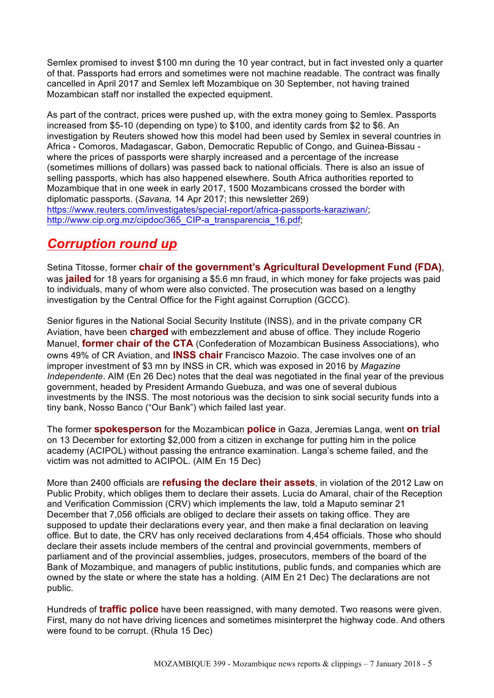Semlex promised to invest \$100 mn during the 10 year contract, but in fact invested only a quarter of that. Passports had errors and sometimes were not machine readable. The contract was finally cancelled in April 2017 and Semlex left Mozambique on 30 September, not having trained Mozambican staff nor installed the expected equipment.

As part of the contract, prices were pushed up, with the extra money going to Semlex. Passports increased from \$5-10 (depending on type) to \$100, and identity cards from \$2 to \$6. An investigation by Reuters showed how this model had been used by Semlex in several countries in Africa - Comoros, Madagascar, Gabon, Democratic Republic of Congo, and Guinea-Bissau where the prices of passports were sharply increased and a percentage of the increase (sometimes millions of dollars) was passed back to national officials. There is also an issue of selling passports, which has also happened elsewhere. South Africa authorities reported to Mozambique that in one week in early 2017, 1500 Mozambicans crossed the border with diplomatic passports. (*Savana,* 14 Apr 2017; this newsletter 269) https://www.reuters.com/investigates/special-report/africa-passports-karaziwan/; http://www.cip.org.mz/cipdoc/365 CIP-a\_transparencia\_16.pdf;

# *Corruption round up*

Setina Titosse, former **chair of the government's Agricultural Development Fund (FDA)**, was **jailed** for 18 years for organising a \$5.6 mn fraud, in which money for fake projects was paid to individuals, many of whom were also convicted. The prosecution was based on a lengthy investigation by the Central Office for the Fight against Corruption (GCCC).

Senior figures in the National Social Security Institute (INSS), and in the private company CR Aviation, have been **charged** with embezzlement and abuse of office. They include Rogerio Manuel, **former chair of the CTA** (Confederation of Mozambican Business Associations), who owns 49% of CR Aviation, and **INSS chair** Francisco Mazoio. The case involves one of an improper investment of \$3 mn by INSS in CR, which was exposed in 2016 by *Magazine Independente*. AIM (En 26 Dec) notes that the deal was negotiated in the final year of the previous government, headed by President Armando Guebuza, and was one of several dubious investments by the INSS. The most notorious was the decision to sink social security funds into a tiny bank, Nosso Banco ("Our Bank") which failed last year.

The former **spokesperson** for the Mozambican **police** in Gaza, Jeremias Langa, went **on trial** on 13 December for extorting \$2,000 from a citizen in exchange for putting him in the police academy (ACIPOL) without passing the entrance examination. Langa's scheme failed, and the victim was not admitted to ACIPOL. (AIM En 15 Dec)

More than 2400 officials are **refusing the declare their assets**, in violation of the 2012 Law on Public Probity, which obliges them to declare their assets. Lucia do Amaral, chair of the Reception and Verification Commission (CRV) which implements the law, told a Maputo seminar 21 December that 7,056 officials are obliged to declare their assets on taking office. They are supposed to update their declarations every year, and then make a final declaration on leaving office. But to date, the CRV has only received declarations from 4,454 officials. Those who should declare their assets include members of the central and provincial governments, members of parliament and of the provincial assemblies, judges, prosecutors, members of the board of the Bank of Mozambique, and managers of public institutions, public funds, and companies which are owned by the state or where the state has a holding. (AIM En 21 Dec) The declarations are not public.

Hundreds of **traffic police** have been reassigned, with many demoted. Two reasons were given. First, many do not have driving licences and sometimes misinterpret the highway code. And others were found to be corrupt. (Rhula 15 Dec)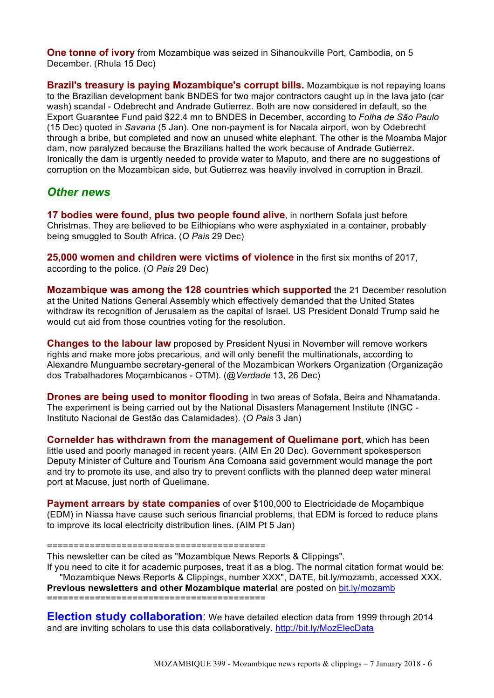**One tonne of ivory** from Mozambique was seized in Sihanoukville Port, Cambodia, on 5 December. (Rhula 15 Dec)

**Brazil's treasury is paying Mozambique's corrupt bills.** Mozambique is not repaying loans to the Brazilian development bank BNDES for two major contractors caught up in the lava jato (car wash) scandal - Odebrecht and Andrade Gutierrez. Both are now considered in default, so the Export Guarantee Fund paid \$22.4 mn to BNDES in December, according to *Folha de São Paulo* (15 Dec) quoted in *Savana* (5 Jan). One non-payment is for Nacala airport, won by Odebrecht through a bribe, but completed and now an unused white elephant. The other is the Moamba Major dam, now paralyzed because the Brazilians halted the work because of Andrade Gutierrez. Ironically the dam is urgently needed to provide water to Maputo, and there are no suggestions of corruption on the Mozambican side, but Gutierrez was heavily involved in corruption in Brazil.

### *Other news*

**17 bodies were found, plus two people found alive**, in northern Sofala just before Christmas. They are believed to be Eithiopians who were asphyxiated in a container, probably being smuggled to South Africa. (*O Pais* 29 Dec)

**25,000 women and children were victims of violence** in the first six months of 2017, according to the police. (*O Pais* 29 Dec)

**Mozambique was among the 128 countries which supported** the 21 December resolution at the United Nations General Assembly which effectively demanded that the United States withdraw its recognition of Jerusalem as the capital of Israel. US President Donald Trump said he would cut aid from those countries voting for the resolution.

**Changes to the labour law** proposed by President Nyusi in November will remove workers rights and make more jobs precarious, and will only benefit the multinationals, according to Alexandre Munguambe secretary-general of the Mozambican Workers Organization (Organização dos Trabalhadores Moçambicanos - OTM). (*@Verdade* 13, 26 Dec)

**Drones are being used to monitor flooding** in two areas of Sofala, Beira and Nhamatanda. The experiment is being carried out by the National Disasters Management Institute (INGC - Instituto Nacional de Gestão das Calamidades). (*O Pais* 3 Jan)

**Cornelder has withdrawn from the management of Quelimane port**, which has been little used and poorly managed in recent years. (AIM En 20 Dec). Government spokesperson Deputy Minister of Culture and Tourism Ana Comoana said government would manage the port and try to promote its use, and also try to prevent conflicts with the planned deep water mineral port at Macuse, just north of Quelimane.

**Payment arrears by state companies** of over \$100,000 to Electricidade de Moçambique (EDM) in Niassa have cause such serious financial problems, that EDM is forced to reduce plans to improve its local electricity distribution lines. (AIM Pt 5 Jan)

#### =========================================

This newsletter can be cited as "Mozambique News Reports & Clippings".

If you need to cite it for academic purposes, treat it as a blog. The normal citation format would be: "Mozambique News Reports & Clippings, number XXX", DATE, bit.ly/mozamb, accessed XXX.

**Previous newsletters and other Mozambique material** are posted on bit.ly/mozamb

=========================================

**Election study collaboration**: We have detailed election data from 1999 through 2014 and are inviting scholars to use this data collaboratively. http://bit.ly/MozElecData